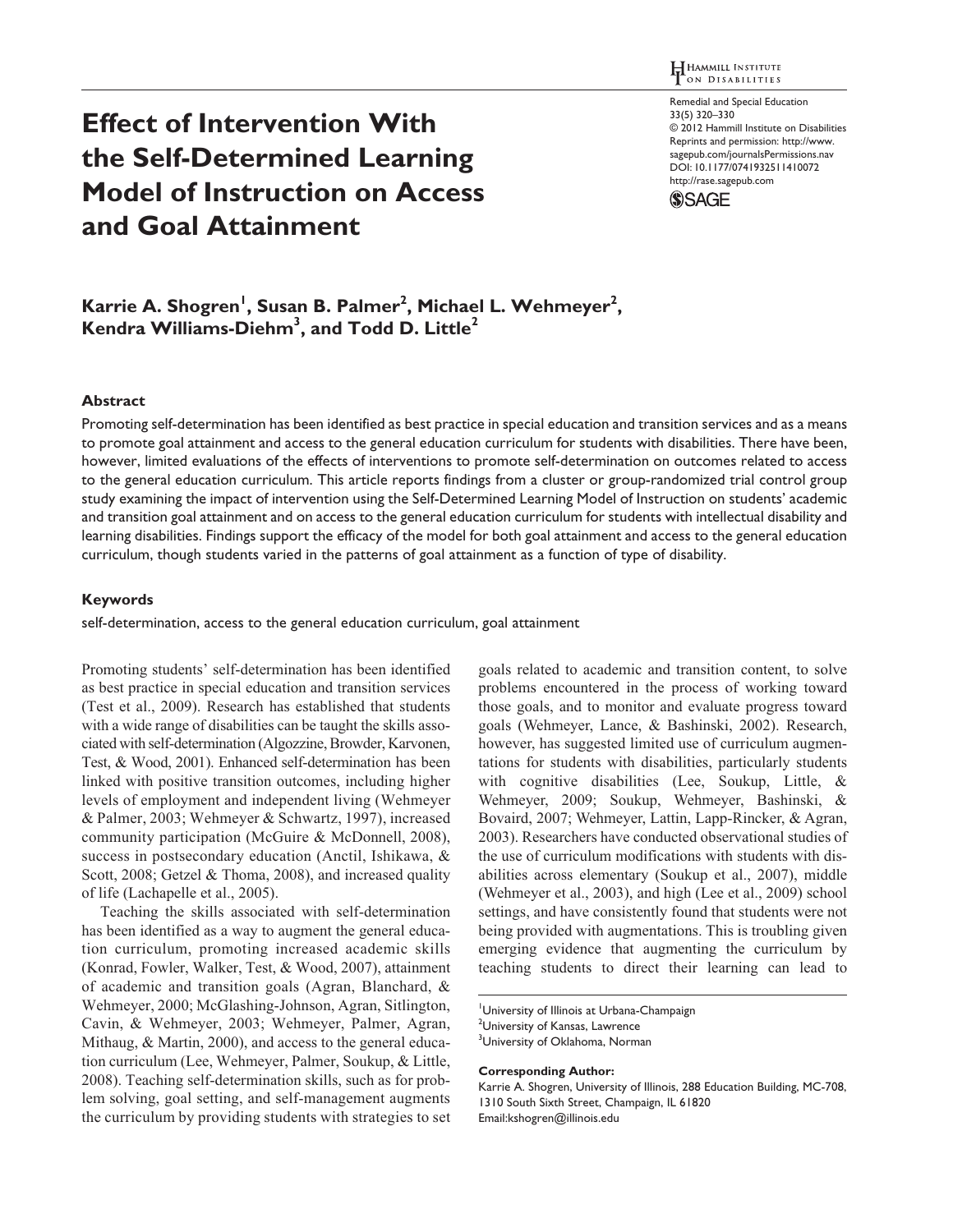H HAMMILL INSTITUTE ON DISABILITIES

# **Effect of Intervention With the Self-Determined Learning Model of Instruction on Access and Goal Attainment**

Remedial and Special Education 33(5) 320 –330 © 2012 Hammill Institute on Disabilities Reprints and permission: http://www. sagepub.com/journalsPermissions.nav DOI: 10.1177/0741932511410072 http://rase.sagepub.com



# Karrie A. Shogren<sup>I</sup>, Susan B. Palmer<sup>2</sup>, Michael L. Wehmeyer<sup>2</sup>, **Kendra Williams-Diehm3 , and Todd D. Little2**

# **Abstract**

Promoting self-determination has been identified as best practice in special education and transition services and as a means to promote goal attainment and access to the general education curriculum for students with disabilities. There have been, however, limited evaluations of the effects of interventions to promote self-determination on outcomes related to access to the general education curriculum. This article reports findings from a cluster or group-randomized trial control group study examining the impact of intervention using the Self-Determined Learning Model of Instruction on students' academic and transition goal attainment and on access to the general education curriculum for students with intellectual disability and learning disabilities. Findings support the efficacy of the model for both goal attainment and access to the general education curriculum, though students varied in the patterns of goal attainment as a function of type of disability.

#### **Keywords**

self-determination, access to the general education curriculum, goal attainment

Promoting students' self-determination has been identified as best practice in special education and transition services (Test et al., 2009). Research has established that students with a wide range of disabilities can be taught the skills associated with self-determination (Algozzine, Browder, Karvonen, Test, & Wood, 2001). Enhanced self-determination has been linked with positive transition outcomes, including higher levels of employment and independent living (Wehmeyer & Palmer, 2003; Wehmeyer & Schwartz, 1997), increased community participation (McGuire & McDonnell, 2008), success in postsecondary education (Anctil, Ishikawa, & Scott, 2008; Getzel & Thoma, 2008), and increased quality of life (Lachapelle et al., 2005).

Teaching the skills associated with self-determination has been identified as a way to augment the general education curriculum, promoting increased academic skills (Konrad, Fowler, Walker, Test, & Wood, 2007), attainment of academic and transition goals (Agran, Blanchard, & Wehmeyer, 2000; McGlashing-Johnson, Agran, Sitlington, Cavin, & Wehmeyer, 2003; Wehmeyer, Palmer, Agran, Mithaug, & Martin, 2000), and access to the general education curriculum (Lee, Wehmeyer, Palmer, Soukup, & Little, 2008). Teaching self-determination skills, such as for problem solving, goal setting, and self-management augments the curriculum by providing students with strategies to set goals related to academic and transition content, to solve problems encountered in the process of working toward those goals, and to monitor and evaluate progress toward goals (Wehmeyer, Lance, & Bashinski, 2002). Research, however, has suggested limited use of curriculum augmentations for students with disabilities, particularly students with cognitive disabilities (Lee, Soukup, Little, & Wehmeyer, 2009; Soukup, Wehmeyer, Bashinski, & Bovaird, 2007; Wehmeyer, Lattin, Lapp-Rincker, & Agran, 2003). Researchers have conducted observational studies of the use of curriculum modifications with students with disabilities across elementary (Soukup et al., 2007), middle (Wehmeyer et al., 2003), and high (Lee et al., 2009) school settings, and have consistently found that students were not being provided with augmentations. This is troubling given emerging evidence that augmenting the curriculum by teaching students to direct their learning can lead to

#### **Corresponding Author:**

Karrie A. Shogren, University of Illinois, 288 Education Building, MC-708, 1310 South Sixth Street, Champaign, IL 61820 Email:kshogren@illinois.edu

University of Illinois at Urbana-Champaign <sup>2</sup>University of Kansas, Lawrence <sup>3</sup>University of Oklahoma, Norman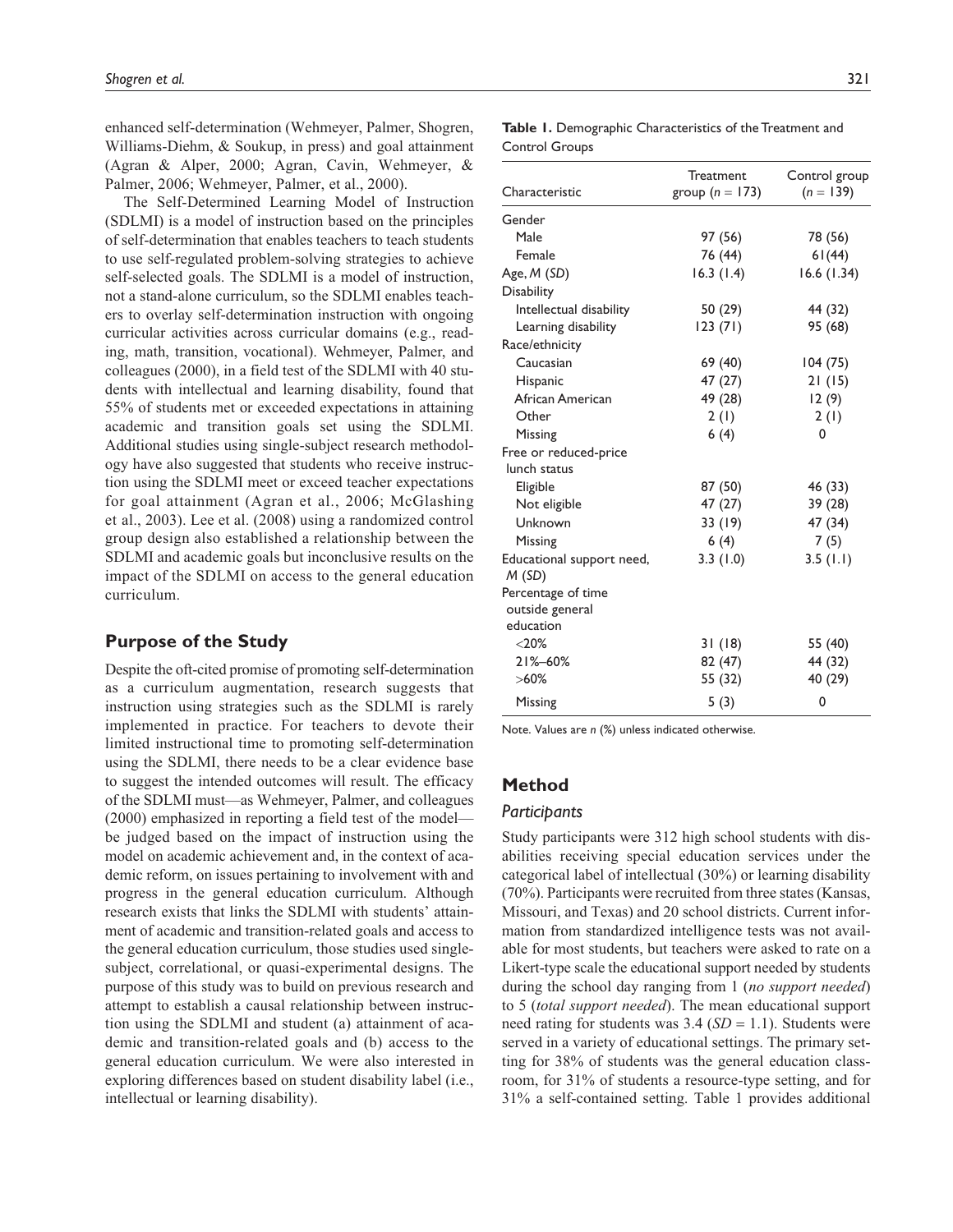enhanced self-determination (Wehmeyer, Palmer, Shogren, Williams-Diehm, & Soukup, in press) and goal attainment (Agran & Alper, 2000; Agran, Cavin, Wehmeyer, & Palmer, 2006; Wehmeyer, Palmer, et al., 2000).

The Self-Determined Learning Model of Instruction (SDLMI) is a model of instruction based on the principles of self-determination that enables teachers to teach students to use self-regulated problem-solving strategies to achieve self-selected goals. The SDLMI is a model of instruction, not a stand-alone curriculum, so the SDLMI enables teachers to overlay self-determination instruction with ongoing curricular activities across curricular domains (e.g., reading, math, transition, vocational). Wehmeyer, Palmer, and colleagues (2000), in a field test of the SDLMI with 40 students with intellectual and learning disability, found that 55% of students met or exceeded expectations in attaining academic and transition goals set using the SDLMI. Additional studies using single-subject research methodology have also suggested that students who receive instruction using the SDLMI meet or exceed teacher expectations for goal attainment (Agran et al., 2006; McGlashing et al., 2003). Lee et al. (2008) using a randomized control group design also established a relationship between the SDLMI and academic goals but inconclusive results on the impact of the SDLMI on access to the general education curriculum.

# **Purpose of the Study**

Despite the oft-cited promise of promoting self-determination as a curriculum augmentation, research suggests that instruction using strategies such as the SDLMI is rarely implemented in practice. For teachers to devote their limited instructional time to promoting self-determination using the SDLMI, there needs to be a clear evidence base to suggest the intended outcomes will result. The efficacy of the SDLMI must—as Wehmeyer, Palmer, and colleagues (2000) emphasized in reporting a field test of the model be judged based on the impact of instruction using the model on academic achievement and, in the context of academic reform, on issues pertaining to involvement with and progress in the general education curriculum. Although research exists that links the SDLMI with students' attainment of academic and transition-related goals and access to the general education curriculum, those studies used singlesubject, correlational, or quasi-experimental designs. The purpose of this study was to build on previous research and attempt to establish a causal relationship between instruction using the SDLMI and student (a) attainment of academic and transition-related goals and (b) access to the general education curriculum. We were also interested in exploring differences based on student disability label (i.e., intellectual or learning disability).

**Table 1.** Demographic Characteristics of the Treatment and Control Groups

| Characteristic                     | Treatment<br>group ( $n = 173$ ) | Control group<br>$(n = 139)$ |
|------------------------------------|----------------------------------|------------------------------|
| Gender                             |                                  |                              |
| Male                               | 97 (56)                          | 78 (56)                      |
| Female                             | 76 (44)                          | 61(44)                       |
| Age, M (SD)                        | 16.3(1.4)                        | 16.6(1.34)                   |
| <b>Disability</b>                  |                                  |                              |
| Intellectual disability            | 50 (29)                          | 44 (32)                      |
| Learning disability                | 123(71)                          | 95 (68)                      |
| Race/ethnicity                     |                                  |                              |
| Caucasian                          | 69 (40)                          | 104(75)                      |
| Hispanic                           | 47 (27)                          | 21(15)                       |
| African American                   | 49 (28)                          | 12(9)                        |
| Other                              | 2(1)                             | 2(1)                         |
| Missing                            | 6(4)                             | 0                            |
| Free or reduced-price              |                                  |                              |
| lunch status                       |                                  |                              |
| Eligible                           | 87 (50)                          | 46 (33)                      |
| Not eligible                       | 47 (27)                          | 39 (28)                      |
| Unknown                            | 33 (19)                          | 47 (34)                      |
| Missing                            | 6(4)                             | 7(5)                         |
| Educational support need,<br>M(SD) | 3.3(1.0)                         | 3.5(1.1)                     |
| Percentage of time                 |                                  |                              |
| outside general<br>education       |                                  |                              |
| $< 20\%$                           |                                  |                              |
| 21%-60%                            | 31 (18)                          | 55 (40)                      |
| $>60\%$                            | 82 (47)                          | 44 (32)                      |
|                                    | 55 (32)                          | 40 (29)                      |
| Missing                            | 5(3)                             | 0                            |

Note. Values are *n* (%) unless indicated otherwise.

# **Method**

#### *Participants*

Study participants were 312 high school students with disabilities receiving special education services under the categorical label of intellectual (30%) or learning disability (70%). Participants were recruited from three states (Kansas, Missouri, and Texas) and 20 school districts. Current information from standardized intelligence tests was not available for most students, but teachers were asked to rate on a Likert-type scale the educational support needed by students during the school day ranging from 1 (*no support needed*) to 5 (*total support needed*). The mean educational support need rating for students was  $3.4$  (*SD* = 1.1). Students were served in a variety of educational settings. The primary setting for 38% of students was the general education classroom, for 31% of students a resource-type setting, and for 31% a self-contained setting. Table 1 provides additional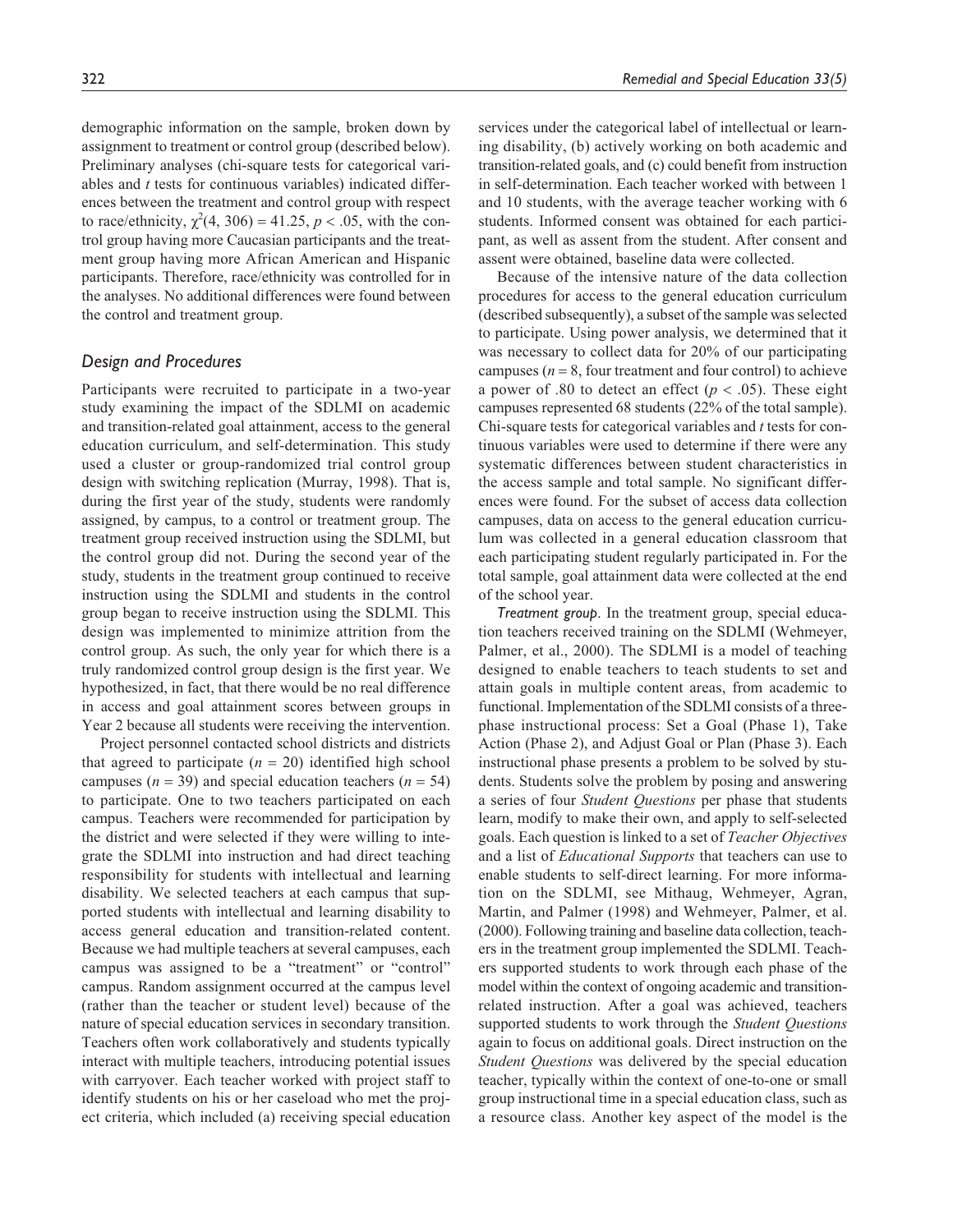demographic information on the sample, broken down by assignment to treatment or control group (described below). Preliminary analyses (chi-square tests for categorical variables and *t* tests for continuous variables) indicated differences between the treatment and control group with respect to race/ethnicity,  $\chi^2(4, 306) = 41.25, p < .05$ , with the control group having more Caucasian participants and the treatment group having more African American and Hispanic participants. Therefore, race/ethnicity was controlled for in

the analyses. No additional differences were found between the control and treatment group.

# *Design and Procedures*

Participants were recruited to participate in a two-year study examining the impact of the SDLMI on academic and transition-related goal attainment, access to the general education curriculum, and self-determination. This study used a cluster or group-randomized trial control group design with switching replication (Murray, 1998). That is, during the first year of the study, students were randomly assigned, by campus, to a control or treatment group. The treatment group received instruction using the SDLMI, but the control group did not. During the second year of the study, students in the treatment group continued to receive instruction using the SDLMI and students in the control group began to receive instruction using the SDLMI. This design was implemented to minimize attrition from the control group. As such, the only year for which there is a truly randomized control group design is the first year. We hypothesized, in fact, that there would be no real difference in access and goal attainment scores between groups in Year 2 because all students were receiving the intervention.

Project personnel contacted school districts and districts that agreed to participate  $(n = 20)$  identified high school campuses ( $n = 39$ ) and special education teachers ( $n = 54$ ) to participate. One to two teachers participated on each campus. Teachers were recommended for participation by the district and were selected if they were willing to integrate the SDLMI into instruction and had direct teaching responsibility for students with intellectual and learning disability. We selected teachers at each campus that supported students with intellectual and learning disability to access general education and transition-related content. Because we had multiple teachers at several campuses, each campus was assigned to be a "treatment" or "control" campus. Random assignment occurred at the campus level (rather than the teacher or student level) because of the nature of special education services in secondary transition. Teachers often work collaboratively and students typically interact with multiple teachers, introducing potential issues with carryover. Each teacher worked with project staff to identify students on his or her caseload who met the project criteria, which included (a) receiving special education services under the categorical label of intellectual or learning disability, (b) actively working on both academic and transition-related goals, and (c) could benefit from instruction in self-determination. Each teacher worked with between 1 and 10 students, with the average teacher working with 6 students. Informed consent was obtained for each participant, as well as assent from the student. After consent and assent were obtained, baseline data were collected.

Because of the intensive nature of the data collection procedures for access to the general education curriculum (described subsequently), a subset of the sample was selected to participate. Using power analysis, we determined that it was necessary to collect data for 20% of our participating campuses ( $n = 8$ , four treatment and four control) to achieve a power of .80 to detect an effect ( $p < .05$ ). These eight campuses represented 68 students (22% of the total sample). Chi-square tests for categorical variables and *t* tests for continuous variables were used to determine if there were any systematic differences between student characteristics in the access sample and total sample. No significant differences were found. For the subset of access data collection campuses, data on access to the general education curriculum was collected in a general education classroom that each participating student regularly participated in. For the total sample, goal attainment data were collected at the end of the school year.

*Treatment group*. In the treatment group, special education teachers received training on the SDLMI (Wehmeyer, Palmer, et al., 2000). The SDLMI is a model of teaching designed to enable teachers to teach students to set and attain goals in multiple content areas, from academic to functional. Implementation of the SDLMI consists of a threephase instructional process: Set a Goal (Phase 1), Take Action (Phase 2), and Adjust Goal or Plan (Phase 3). Each instructional phase presents a problem to be solved by students. Students solve the problem by posing and answering a series of four *Student Questions* per phase that students learn, modify to make their own, and apply to self-selected goals. Each question is linked to a set of *Teacher Objectives* and a list of *Educational Supports* that teachers can use to enable students to self-direct learning. For more information on the SDLMI, see Mithaug, Wehmeyer, Agran, Martin, and Palmer (1998) and Wehmeyer, Palmer, et al. (2000). Following training and baseline data collection, teachers in the treatment group implemented the SDLMI. Teachers supported students to work through each phase of the model within the context of ongoing academic and transitionrelated instruction. After a goal was achieved, teachers supported students to work through the *Student Questions* again to focus on additional goals. Direct instruction on the *Student Questions* was delivered by the special education teacher, typically within the context of one-to-one or small group instructional time in a special education class, such as a resource class. Another key aspect of the model is the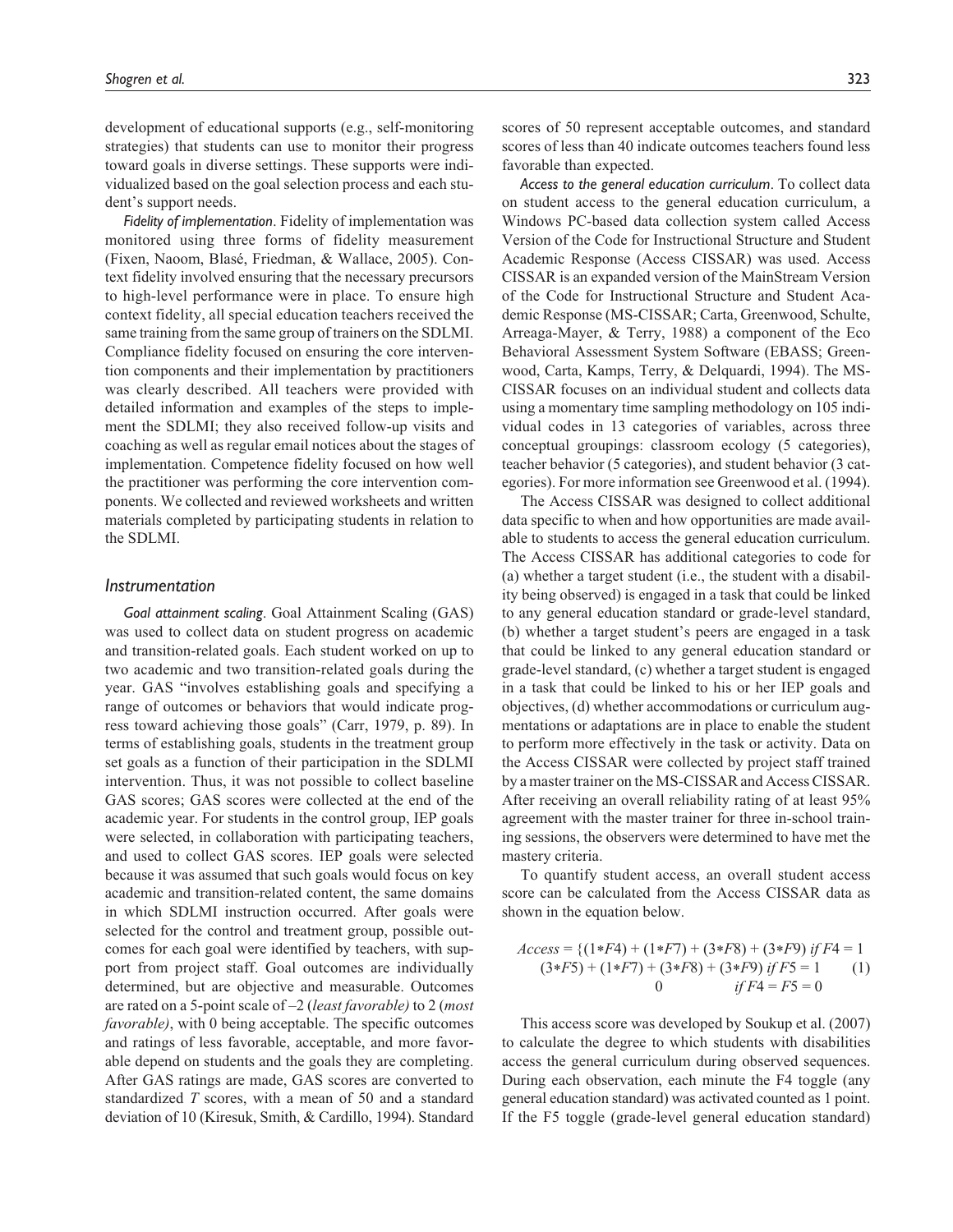development of educational supports (e.g., self-monitoring strategies) that students can use to monitor their progress toward goals in diverse settings. These supports were individualized based on the goal selection process and each student's support needs.

*Fidelity of implementation*. Fidelity of implementation was monitored using three forms of fidelity measurement (Fixen, Naoom, Blasé, Friedman, & Wallace, 2005). Context fidelity involved ensuring that the necessary precursors to high-level performance were in place. To ensure high context fidelity, all special education teachers received the same training from the same group of trainers on the SDLMI. Compliance fidelity focused on ensuring the core intervention components and their implementation by practitioners was clearly described. All teachers were provided with detailed information and examples of the steps to implement the SDLMI; they also received follow-up visits and coaching as well as regular email notices about the stages of implementation. Competence fidelity focused on how well the practitioner was performing the core intervention components. We collected and reviewed worksheets and written materials completed by participating students in relation to the SDLMI.

#### *Instrumentation*

*Goal attainment scaling*. Goal Attainment Scaling (GAS) was used to collect data on student progress on academic and transition-related goals. Each student worked on up to two academic and two transition-related goals during the year. GAS "involves establishing goals and specifying a range of outcomes or behaviors that would indicate progress toward achieving those goals" (Carr, 1979, p. 89). In terms of establishing goals, students in the treatment group set goals as a function of their participation in the SDLMI intervention. Thus, it was not possible to collect baseline GAS scores; GAS scores were collected at the end of the academic year. For students in the control group, IEP goals were selected, in collaboration with participating teachers, and used to collect GAS scores. IEP goals were selected because it was assumed that such goals would focus on key academic and transition-related content, the same domains in which SDLMI instruction occurred. After goals were selected for the control and treatment group, possible outcomes for each goal were identified by teachers, with support from project staff. Goal outcomes are individually determined, but are objective and measurable. Outcomes are rated on a 5-point scale of –2 (*least favorable)* to 2 (*most favorable)*, with 0 being acceptable. The specific outcomes and ratings of less favorable, acceptable, and more favorable depend on students and the goals they are completing. After GAS ratings are made, GAS scores are converted to standardized *T* scores, with a mean of 50 and a standard deviation of 10 (Kiresuk, Smith, & Cardillo, 1994). Standard

scores of 50 represent acceptable outcomes, and standard scores of less than 40 indicate outcomes teachers found less favorable than expected.

*Access to the general education curriculum*. To collect data on student access to the general education curriculum, a Windows PC-based data collection system called Access Version of the Code for Instructional Structure and Student Academic Response (Access CISSAR) was used. Access CISSAR is an expanded version of the MainStream Version of the Code for Instructional Structure and Student Academic Response (MS-CISSAR; Carta, Greenwood, Schulte, Arreaga-Mayer, & Terry, 1988) a component of the Eco Behavioral Assessment System Software (EBASS; Greenwood, Carta, Kamps, Terry, & Delquardi, 1994). The MS-CISSAR focuses on an individual student and collects data using a momentary time sampling methodology on 105 individual codes in 13 categories of variables, across three conceptual groupings: classroom ecology (5 categories), teacher behavior (5 categories), and student behavior (3 categories). For more information see Greenwood et al. (1994).

The Access CISSAR was designed to collect additional data specific to when and how opportunities are made available to students to access the general education curriculum. The Access CISSAR has additional categories to code for (a) whether a target student (i.e., the student with a disability being observed) is engaged in a task that could be linked to any general education standard or grade-level standard, (b) whether a target student's peers are engaged in a task that could be linked to any general education standard or grade-level standard, (c) whether a target student is engaged in a task that could be linked to his or her IEP goals and objectives, (d) whether accommodations or curriculum augmentations or adaptations are in place to enable the student to perform more effectively in the task or activity. Data on the Access CISSAR were collected by project staff trained by a master trainer on the MS-CISSAR and Access CISSAR. After receiving an overall reliability rating of at least 95% agreement with the master trainer for three in-school training sessions, the observers were determined to have met the mastery criteria.

To quantify student access, an overall student access score can be calculated from the Access CISSAR data as shown in the equation below.

$$
Access = \{(1 * F4) + (1 * F7) + (3 * F8) + (3 * F9) \text{ if } F4 = 1
$$
  

$$
(3 * F5) + (1 * F7) + (3 * F8) + (3 * F9) \text{ if } F5 = 1
$$
  

$$
0 \text{ if } F4 = F5 = 0
$$
 (1)

This access score was developed by Soukup et al. (2007) to calculate the degree to which students with disabilities access the general curriculum during observed sequences. During each observation, each minute the F4 toggle (any general education standard) was activated counted as 1 point. If the F5 toggle (grade-level general education standard)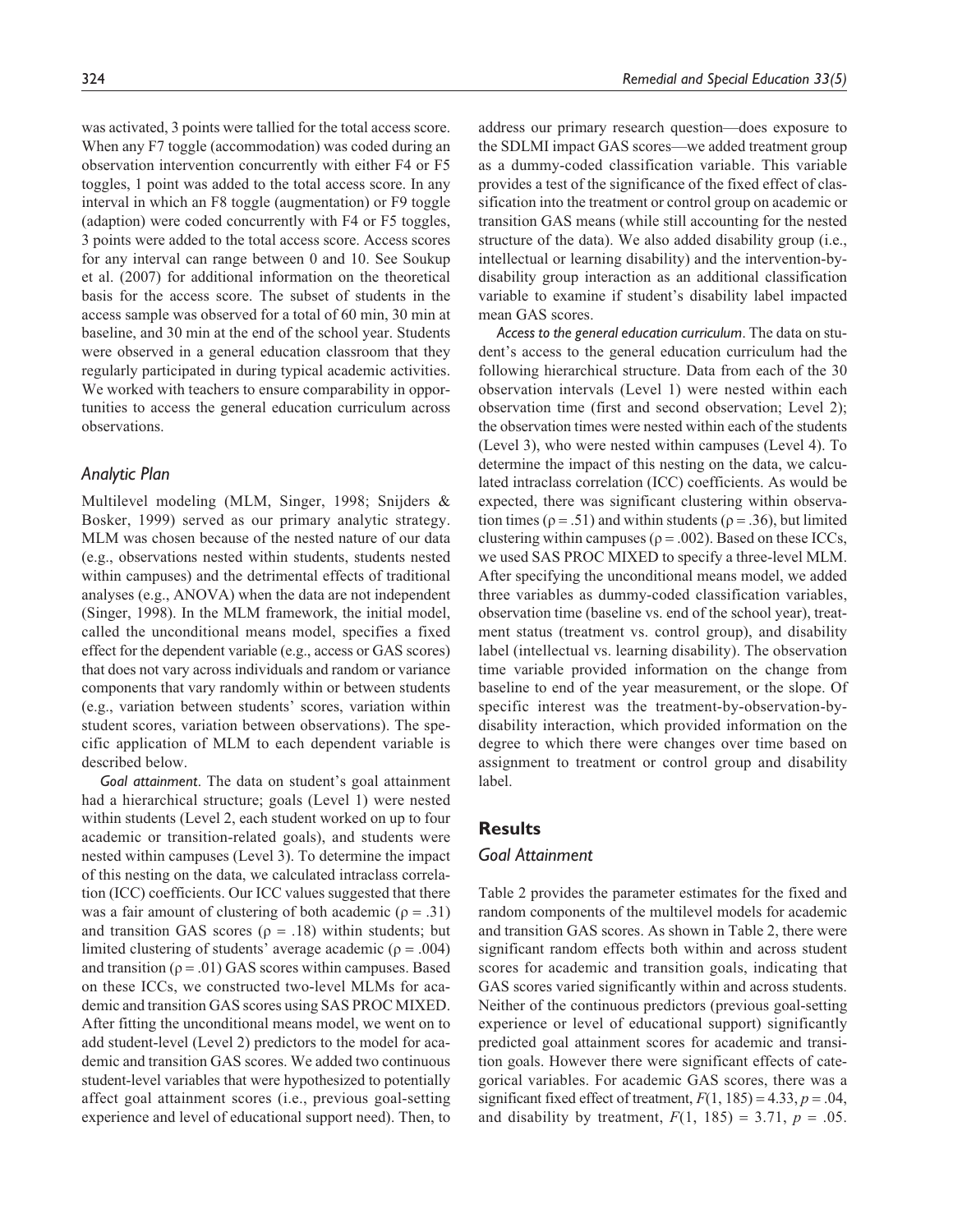was activated, 3 points were tallied for the total access score. When any F7 toggle (accommodation) was coded during an observation intervention concurrently with either F4 or F5 toggles, 1 point was added to the total access score. In any interval in which an F8 toggle (augmentation) or F9 toggle (adaption) were coded concurrently with F4 or F5 toggles, 3 points were added to the total access score. Access scores for any interval can range between 0 and 10. See Soukup et al. (2007) for additional information on the theoretical basis for the access score. The subset of students in the access sample was observed for a total of 60 min, 30 min at baseline, and 30 min at the end of the school year. Students were observed in a general education classroom that they regularly participated in during typical academic activities. We worked with teachers to ensure comparability in opportunities to access the general education curriculum across observations.

# *Analytic Plan*

Multilevel modeling (MLM, Singer, 1998; Snijders & Bosker, 1999) served as our primary analytic strategy. MLM was chosen because of the nested nature of our data (e.g., observations nested within students, students nested within campuses) and the detrimental effects of traditional analyses (e.g., ANOVA) when the data are not independent (Singer, 1998). In the MLM framework, the initial model, called the unconditional means model, specifies a fixed effect for the dependent variable (e.g., access or GAS scores) that does not vary across individuals and random or variance components that vary randomly within or between students (e.g., variation between students' scores, variation within student scores, variation between observations). The specific application of MLM to each dependent variable is described below.

*Goal attainment*. The data on student's goal attainment had a hierarchical structure; goals (Level 1) were nested within students (Level 2, each student worked on up to four academic or transition-related goals), and students were nested within campuses (Level 3). To determine the impact of this nesting on the data, we calculated intraclass correlation (ICC) coefficients. Our ICC values suggested that there was a fair amount of clustering of both academic ( $\rho = .31$ ) and transition GAS scores ( $\rho = .18$ ) within students; but limited clustering of students' average academic ( $\rho = .004$ ) and transition ( $\rho = .01$ ) GAS scores within campuses. Based on these ICCs, we constructed two-level MLMs for academic and transition GAS scores using SAS PROC MIXED. After fitting the unconditional means model, we went on to add student-level (Level 2) predictors to the model for academic and transition GAS scores. We added two continuous student-level variables that were hypothesized to potentially affect goal attainment scores (i.e., previous goal-setting experience and level of educational support need). Then, to

address our primary research question—does exposure to the SDLMI impact GAS scores—we added treatment group as a dummy-coded classification variable. This variable provides a test of the significance of the fixed effect of classification into the treatment or control group on academic or transition GAS means (while still accounting for the nested structure of the data). We also added disability group (i.e., intellectual or learning disability) and the intervention-bydisability group interaction as an additional classification variable to examine if student's disability label impacted mean GAS scores.

*Access to the general education curriculum*. The data on student's access to the general education curriculum had the following hierarchical structure. Data from each of the 30 observation intervals (Level 1) were nested within each observation time (first and second observation; Level 2); the observation times were nested within each of the students (Level 3), who were nested within campuses (Level 4). To determine the impact of this nesting on the data, we calculated intraclass correlation (ICC) coefficients. As would be expected, there was significant clustering within observation times ( $\rho = .51$ ) and within students ( $\rho = .36$ ), but limited clustering within campuses ( $\rho = .002$ ). Based on these ICCs, we used SAS PROC MIXED to specify a three-level MLM. After specifying the unconditional means model, we added three variables as dummy-coded classification variables, observation time (baseline vs. end of the school year), treatment status (treatment vs. control group), and disability label (intellectual vs. learning disability). The observation time variable provided information on the change from baseline to end of the year measurement, or the slope. Of specific interest was the treatment-by-observation-bydisability interaction, which provided information on the degree to which there were changes over time based on assignment to treatment or control group and disability label.

# **Results**

# *Goal Attainment*

Table 2 provides the parameter estimates for the fixed and random components of the multilevel models for academic and transition GAS scores. As shown in Table 2, there were significant random effects both within and across student scores for academic and transition goals, indicating that GAS scores varied significantly within and across students. Neither of the continuous predictors (previous goal-setting experience or level of educational support) significantly predicted goal attainment scores for academic and transition goals. However there were significant effects of categorical variables. For academic GAS scores, there was a significant fixed effect of treatment,  $F(1, 185) = 4.33$ ,  $p = .04$ , and disability by treatment,  $F(1, 185) = 3.71$ ,  $p = .05$ .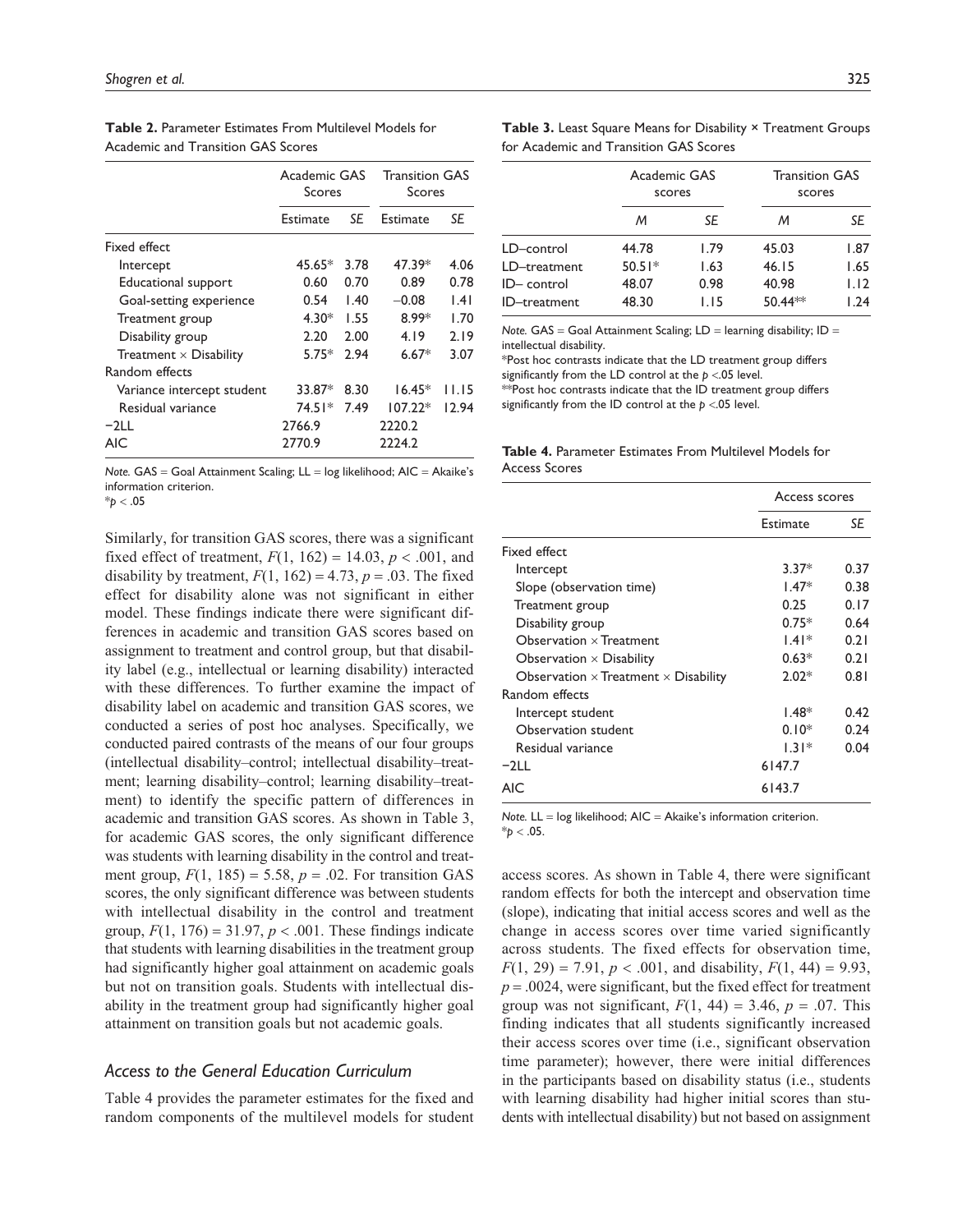|                               | Academic GAS<br>Scores |      | <b>Transition GAS</b><br>Scores |       |
|-------------------------------|------------------------|------|---------------------------------|-------|
|                               | Estimate               | SE   | Estimate                        | SE    |
| Fixed effect                  |                        |      |                                 |       |
| Intercept                     | 45.65*                 | 3.78 | 47.39*                          | 4.06  |
| <b>Educational support</b>    | 0.60                   | 0.70 | 0.89                            | 0.78  |
| Goal-setting experience       | 0.54                   | 1.40 | $-0.08$                         | 1.41  |
| Treatment group               | $4.30*$                | 1.55 | $8.99*$                         | 1.70  |
| Disability group              | 2.20                   | 2.00 | 4.19                            | 2.19  |
| Treatment $\times$ Disability | $5.75*$                | 2.94 | $6.67*$                         | 3.07  |
| Random effects                |                        |      |                                 |       |
| Variance intercept student    | 33.87*                 | 8.30 | $16.45*$                        | 11.15 |
| Residual variance             | $74.51*$               | 7.49 | $107.22*$                       | 12.94 |
| $-2LL$                        | 2766.9                 |      | 2220.2                          |       |
| <b>AIC</b>                    | 2770.9                 |      | 2224.2                          |       |

|                                    |  | <b>Table 2. Parameter Estimates From Multilevel Models for</b> |
|------------------------------------|--|----------------------------------------------------------------|
| Academic and Transition GAS Scores |  |                                                                |

*Note.* GAS = Goal Attainment Scaling; LL = log likelihood; AIC = Akaike's information criterion.

 $*_{p}$  < .05

Similarly, for transition GAS scores, there was a significant fixed effect of treatment,  $F(1, 162) = 14.03$ ,  $p < .001$ , and disability by treatment,  $F(1, 162) = 4.73$ ,  $p = .03$ . The fixed effect for disability alone was not significant in either model. These findings indicate there were significant differences in academic and transition GAS scores based on assignment to treatment and control group, but that disability label (e.g., intellectual or learning disability) interacted with these differences. To further examine the impact of disability label on academic and transition GAS scores, we conducted a series of post hoc analyses. Specifically, we conducted paired contrasts of the means of our four groups (intellectual disability–control; intellectual disability–treatment; learning disability–control; learning disability–treatment) to identify the specific pattern of differences in academic and transition GAS scores. As shown in Table 3, for academic GAS scores, the only significant difference was students with learning disability in the control and treatment group,  $F(1, 185) = 5.58$ ,  $p = .02$ . For transition GAS scores, the only significant difference was between students with intellectual disability in the control and treatment group,  $F(1, 176) = 31.97$ ,  $p < .001$ . These findings indicate that students with learning disabilities in the treatment group had significantly higher goal attainment on academic goals but not on transition goals. Students with intellectual disability in the treatment group had significantly higher goal attainment on transition goals but not academic goals.

#### *Access to the General Education Curriculum*

Table 4 provides the parameter estimates for the fixed and random components of the multilevel models for student

| <b>Table 3.</b> Least Square Means for Disability × Treatment Groups |
|----------------------------------------------------------------------|
| for Academic and Transition GAS Scores                               |

|              | Academic GAS<br>scores |      |         | <b>Transition GAS</b><br>scores |  |
|--------------|------------------------|------|---------|---------------------------------|--|
|              | м                      | SE   | м       | SE                              |  |
| LD-control   | 44.78                  | l.79 | 45.03   | 1.87                            |  |
| LD-treatment | $50.51*$               | 1.63 | 46.15   | 1.65                            |  |
| $ID$ control | 48.07                  | 0.98 | 40.98   | 1.12                            |  |
| ID-treatment | 48.30                  | 1.15 | 50.44** | 1.24                            |  |

*Note.* GAS = Goal Attainment Scaling; LD = learning disability; ID = intellectual disability.

\*Post hoc contrasts indicate that the LD treatment group differs significantly from the LD control at the  $p < 05$  level. \*\*Post hoc contrasts indicate that the ID treatment group differs significantly from the ID control at the  $p < 0.05$  level.

|               |  |  | <b>Table 4.</b> Parameter Estimates From Multilevel Models for |
|---------------|--|--|----------------------------------------------------------------|
| Access Scores |  |  |                                                                |

|                                                    | Access scores |      |
|----------------------------------------------------|---------------|------|
|                                                    | Estimate      | SE   |
| Fixed effect                                       |               |      |
| Intercept                                          | $3.37*$       | 0.37 |
| Slope (observation time)                           | $1.47*$       | 0.38 |
| Treatment group                                    | 0.25          | 0.17 |
| Disability group                                   | $0.75*$       | 0.64 |
| Observation $\times$ Treatment                     | $1.41*$       | 0.21 |
| Observation $\times$ Disability                    | $0.63*$       | 0.21 |
| Observation $\times$ Treatment $\times$ Disability | $2.02*$       | 0.81 |
| Random effects                                     |               |      |
| Intercept student                                  | $1.48*$       | 0.42 |
| Observation student                                | $0.10*$       | 0.24 |
| Residual variance                                  | $1.31*$       | 0.04 |
| $-211$                                             | 6147.7        |      |
| AIC                                                | 6143.7        |      |

*Note.*  $LL = log$  likelihood;  $AIC = Akaike's$  information criterion.  $*_{p}$  < .05.

access scores. As shown in Table 4, there were significant random effects for both the intercept and observation time (slope), indicating that initial access scores and well as the change in access scores over time varied significantly across students. The fixed effects for observation time,  $F(1, 29) = 7.91, p < .001$ , and disability,  $F(1, 44) = 9.93$ ,  $p = 0.0024$ , were significant, but the fixed effect for treatment group was not significant,  $F(1, 44) = 3.46$ ,  $p = .07$ . This finding indicates that all students significantly increased their access scores over time (i.e., significant observation time parameter); however, there were initial differences in the participants based on disability status (i.e., students with learning disability had higher initial scores than students with intellectual disability) but not based on assignment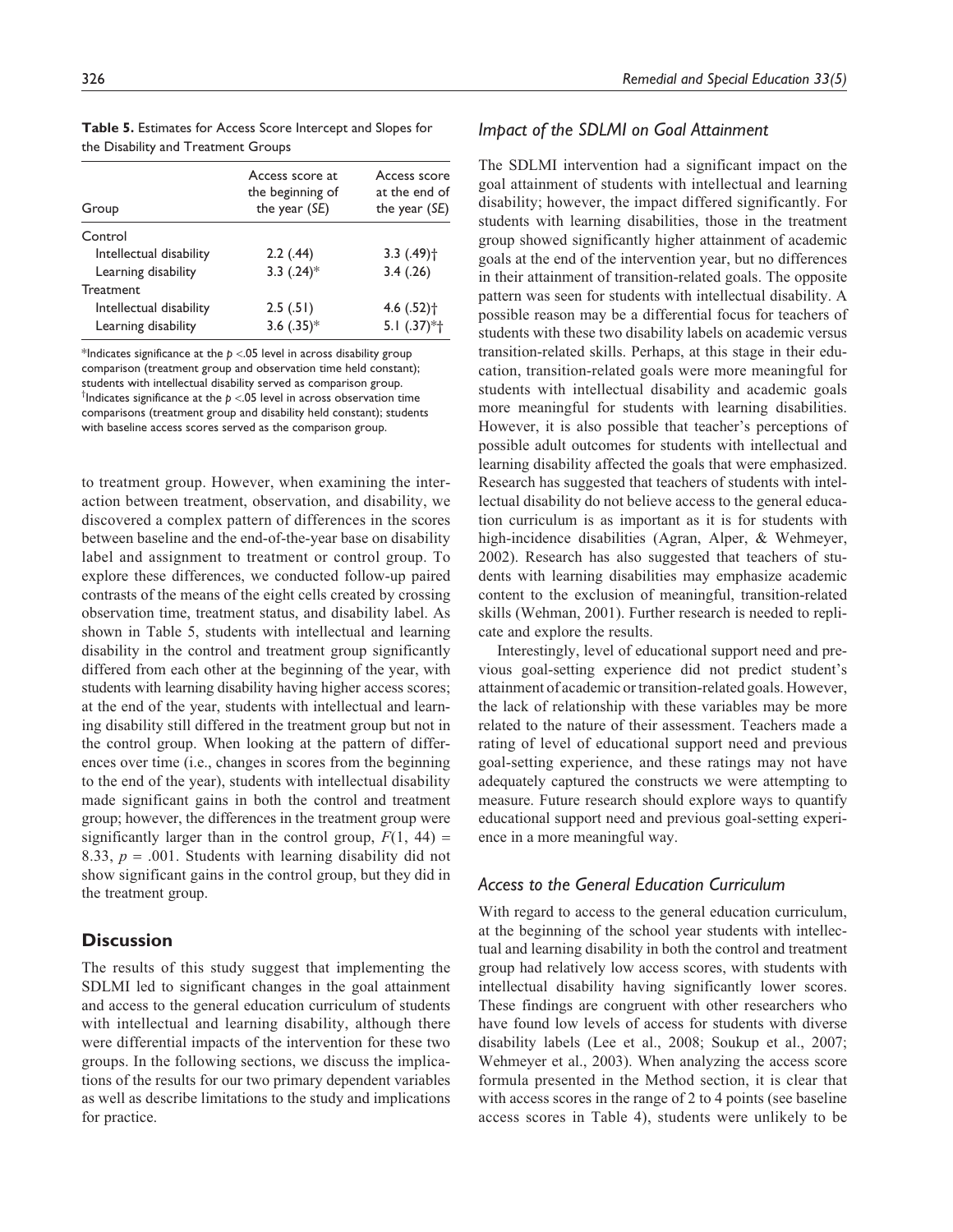| Group                   | Access score at<br>the beginning of<br>the year (SE) | Access score<br>at the end of<br>the year $(SE)$ |
|-------------------------|------------------------------------------------------|--------------------------------------------------|
| Control                 |                                                      |                                                  |
| Intellectual disability | $2.2$ (.44)                                          | $3.3(.49)$ <sup>+</sup>                          |
| Learning disability     | 3.3 $(.24)*$                                         | 3.4(.26)                                         |
| Treatment               |                                                      |                                                  |
| Intellectual disability | 2.5(.51)                                             | $4.6(.52)$ <sup>+</sup>                          |
| Learning disability     | 3.6 $(.35)$ <sup>*</sup>                             | 5.1 $(.37)*+$                                    |

**Table 5.** Estimates for Access Score Intercept and Slopes for the Disability and Treatment Groups

 $*$ Indicates significance at the  $p < 05$  level in across disability group comparison (treatment group and observation time held constant); students with intellectual disability served as comparison group.  $^\dagger$ Indicates significance at the  $p < 0$ 5 level in across observation time comparisons (treatment group and disability held constant); students with baseline access scores served as the comparison group.

to treatment group. However, when examining the interaction between treatment, observation, and disability, we discovered a complex pattern of differences in the scores between baseline and the end-of-the-year base on disability label and assignment to treatment or control group. To explore these differences, we conducted follow-up paired contrasts of the means of the eight cells created by crossing observation time, treatment status, and disability label. As shown in Table 5, students with intellectual and learning disability in the control and treatment group significantly differed from each other at the beginning of the year, with students with learning disability having higher access scores; at the end of the year, students with intellectual and learning disability still differed in the treatment group but not in the control group. When looking at the pattern of differences over time (i.e., changes in scores from the beginning to the end of the year), students with intellectual disability made significant gains in both the control and treatment group; however, the differences in the treatment group were significantly larger than in the control group,  $F(1, 44) =$ 8.33,  $p = .001$ . Students with learning disability did not show significant gains in the control group, but they did in the treatment group.

# **Discussion**

The results of this study suggest that implementing the SDLMI led to significant changes in the goal attainment and access to the general education curriculum of students with intellectual and learning disability, although there were differential impacts of the intervention for these two groups. In the following sections, we discuss the implications of the results for our two primary dependent variables as well as describe limitations to the study and implications for practice.

# *Impact of the SDLMI on Goal Attainment*

The SDLMI intervention had a significant impact on the goal attainment of students with intellectual and learning disability; however, the impact differed significantly. For students with learning disabilities, those in the treatment group showed significantly higher attainment of academic goals at the end of the intervention year, but no differences in their attainment of transition-related goals. The opposite pattern was seen for students with intellectual disability. A possible reason may be a differential focus for teachers of students with these two disability labels on academic versus transition-related skills. Perhaps, at this stage in their education, transition-related goals were more meaningful for students with intellectual disability and academic goals more meaningful for students with learning disabilities. However, it is also possible that teacher's perceptions of possible adult outcomes for students with intellectual and learning disability affected the goals that were emphasized. Research has suggested that teachers of students with intellectual disability do not believe access to the general education curriculum is as important as it is for students with high-incidence disabilities (Agran, Alper, & Wehmeyer, 2002). Research has also suggested that teachers of students with learning disabilities may emphasize academic content to the exclusion of meaningful, transition-related skills (Wehman, 2001). Further research is needed to replicate and explore the results.

Interestingly, level of educational support need and previous goal-setting experience did not predict student's attainment of academic or transition-related goals. However, the lack of relationship with these variables may be more related to the nature of their assessment. Teachers made a rating of level of educational support need and previous goal-setting experience, and these ratings may not have adequately captured the constructs we were attempting to measure. Future research should explore ways to quantify educational support need and previous goal-setting experience in a more meaningful way.

# *Access to the General Education Curriculum*

With regard to access to the general education curriculum, at the beginning of the school year students with intellectual and learning disability in both the control and treatment group had relatively low access scores, with students with intellectual disability having significantly lower scores. These findings are congruent with other researchers who have found low levels of access for students with diverse disability labels (Lee et al., 2008; Soukup et al., 2007; Wehmeyer et al., 2003). When analyzing the access score formula presented in the Method section, it is clear that with access scores in the range of 2 to 4 points (see baseline access scores in Table 4), students were unlikely to be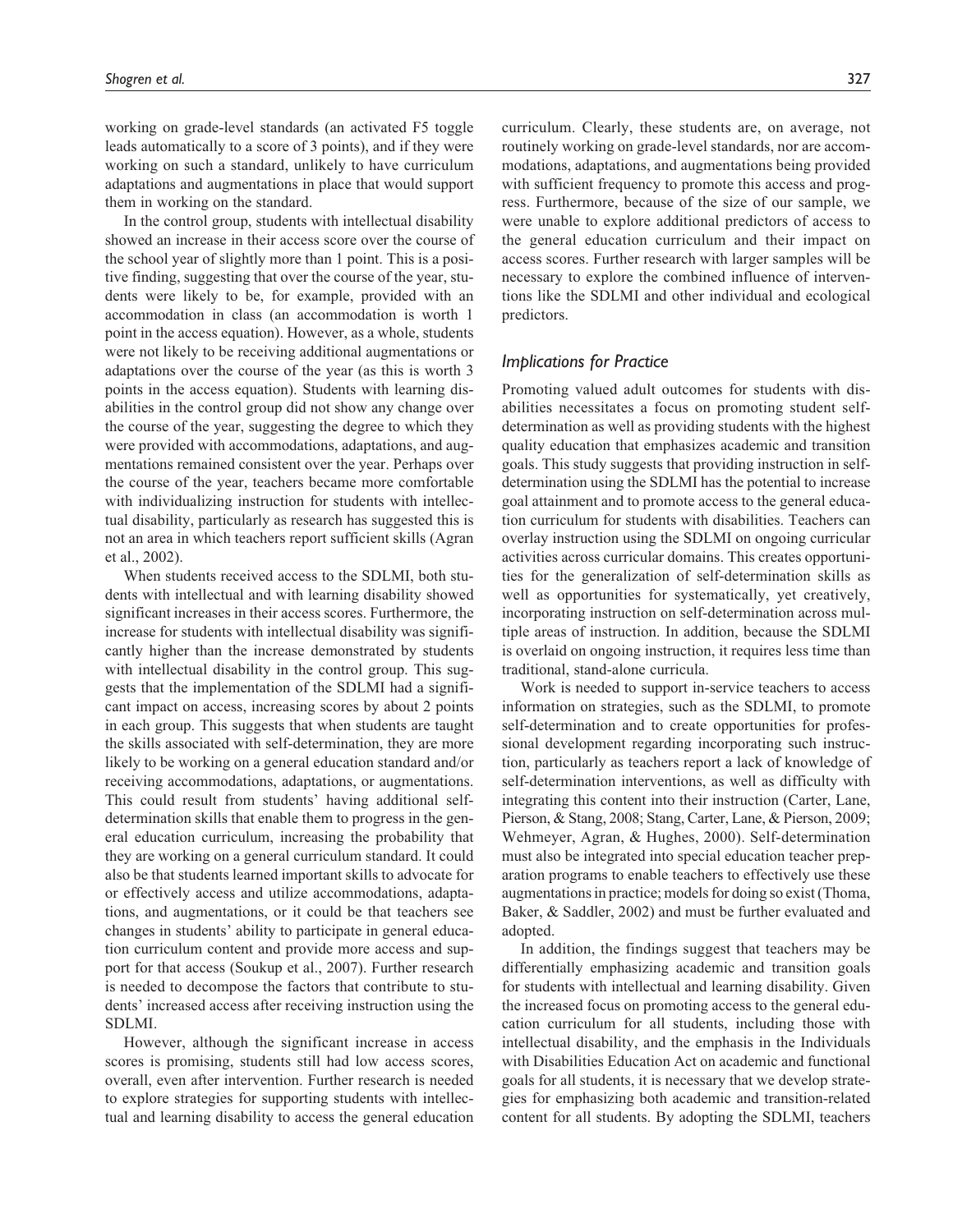working on grade-level standards (an activated F5 toggle leads automatically to a score of 3 points), and if they were working on such a standard, unlikely to have curriculum adaptations and augmentations in place that would support them in working on the standard.

In the control group, students with intellectual disability showed an increase in their access score over the course of the school year of slightly more than 1 point. This is a positive finding, suggesting that over the course of the year, students were likely to be, for example, provided with an accommodation in class (an accommodation is worth 1 point in the access equation). However, as a whole, students were not likely to be receiving additional augmentations or adaptations over the course of the year (as this is worth 3 points in the access equation). Students with learning disabilities in the control group did not show any change over the course of the year, suggesting the degree to which they were provided with accommodations, adaptations, and augmentations remained consistent over the year. Perhaps over the course of the year, teachers became more comfortable with individualizing instruction for students with intellectual disability, particularly as research has suggested this is not an area in which teachers report sufficient skills (Agran et al., 2002).

When students received access to the SDLMI, both students with intellectual and with learning disability showed significant increases in their access scores. Furthermore, the increase for students with intellectual disability was significantly higher than the increase demonstrated by students with intellectual disability in the control group. This suggests that the implementation of the SDLMI had a significant impact on access, increasing scores by about 2 points in each group. This suggests that when students are taught the skills associated with self-determination, they are more likely to be working on a general education standard and/or receiving accommodations, adaptations, or augmentations. This could result from students' having additional selfdetermination skills that enable them to progress in the general education curriculum, increasing the probability that they are working on a general curriculum standard. It could also be that students learned important skills to advocate for or effectively access and utilize accommodations, adaptations, and augmentations, or it could be that teachers see changes in students' ability to participate in general education curriculum content and provide more access and support for that access (Soukup et al., 2007). Further research is needed to decompose the factors that contribute to students' increased access after receiving instruction using the SDLMI.

However, although the significant increase in access scores is promising, students still had low access scores, overall, even after intervention. Further research is needed to explore strategies for supporting students with intellectual and learning disability to access the general education

curriculum. Clearly, these students are, on average, not routinely working on grade-level standards, nor are accommodations, adaptations, and augmentations being provided with sufficient frequency to promote this access and progress. Furthermore, because of the size of our sample, we were unable to explore additional predictors of access to the general education curriculum and their impact on access scores. Further research with larger samples will be necessary to explore the combined influence of interventions like the SDLMI and other individual and ecological predictors.

# *Implications for Practice*

Promoting valued adult outcomes for students with disabilities necessitates a focus on promoting student selfdetermination as well as providing students with the highest quality education that emphasizes academic and transition goals. This study suggests that providing instruction in selfdetermination using the SDLMI has the potential to increase goal attainment and to promote access to the general education curriculum for students with disabilities. Teachers can overlay instruction using the SDLMI on ongoing curricular activities across curricular domains. This creates opportunities for the generalization of self-determination skills as well as opportunities for systematically, yet creatively, incorporating instruction on self-determination across multiple areas of instruction. In addition, because the SDLMI is overlaid on ongoing instruction, it requires less time than traditional, stand-alone curricula.

Work is needed to support in-service teachers to access information on strategies, such as the SDLMI, to promote self-determination and to create opportunities for professional development regarding incorporating such instruction, particularly as teachers report a lack of knowledge of self-determination interventions, as well as difficulty with integrating this content into their instruction (Carter, Lane, Pierson, & Stang, 2008; Stang, Carter, Lane, & Pierson, 2009; Wehmeyer, Agran, & Hughes, 2000). Self-determination must also be integrated into special education teacher preparation programs to enable teachers to effectively use these augmentations in practice; models for doing so exist (Thoma, Baker, & Saddler, 2002) and must be further evaluated and adopted.

In addition, the findings suggest that teachers may be differentially emphasizing academic and transition goals for students with intellectual and learning disability. Given the increased focus on promoting access to the general education curriculum for all students, including those with intellectual disability, and the emphasis in the Individuals with Disabilities Education Act on academic and functional goals for all students, it is necessary that we develop strategies for emphasizing both academic and transition-related content for all students. By adopting the SDLMI, teachers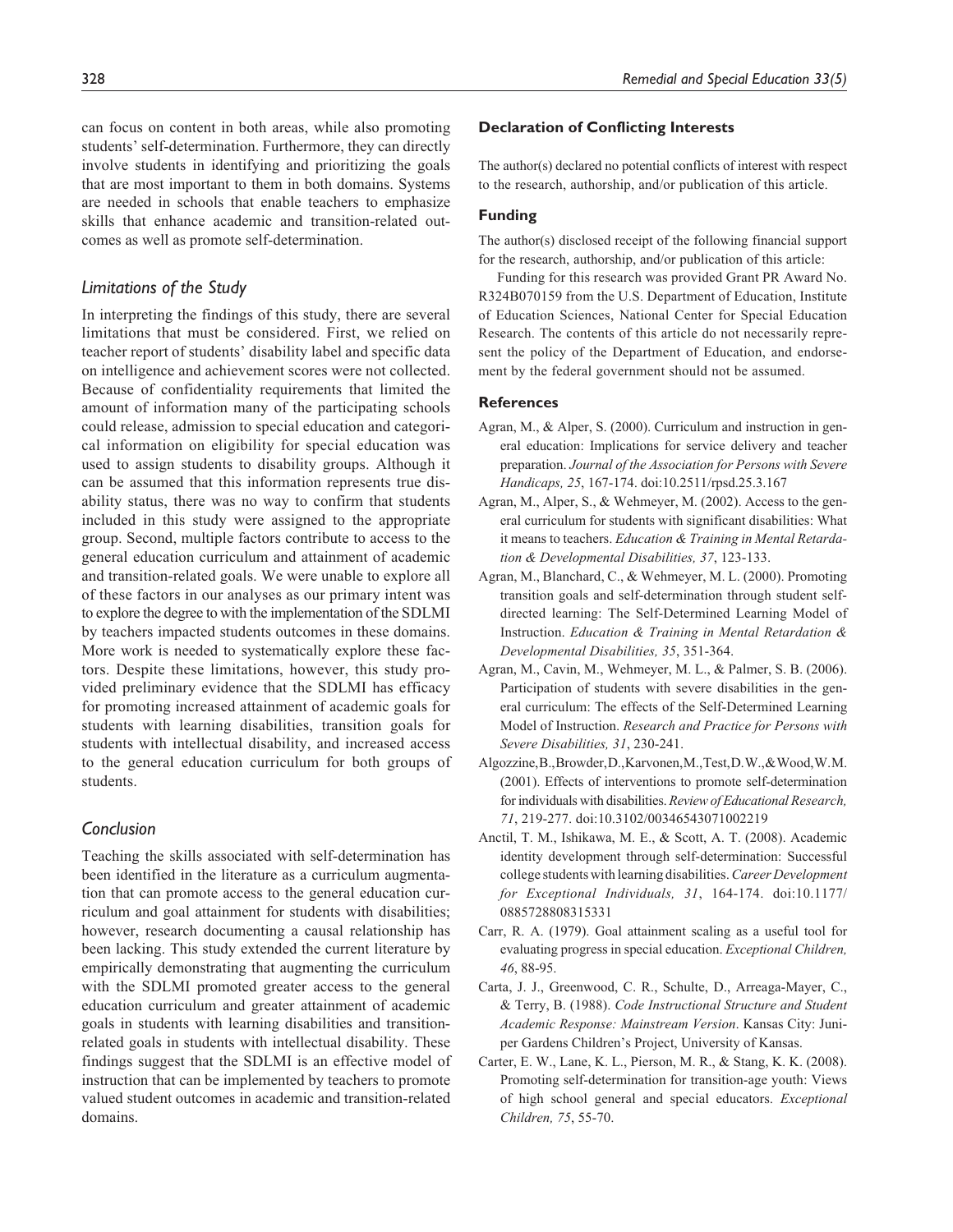can focus on content in both areas, while also promoting students' self-determination. Furthermore, they can directly involve students in identifying and prioritizing the goals that are most important to them in both domains. Systems are needed in schools that enable teachers to emphasize skills that enhance academic and transition-related outcomes as well as promote self-determination.

# *Limitations of the Study*

In interpreting the findings of this study, there are several limitations that must be considered. First, we relied on teacher report of students' disability label and specific data on intelligence and achievement scores were not collected. Because of confidentiality requirements that limited the amount of information many of the participating schools could release, admission to special education and categorical information on eligibility for special education was used to assign students to disability groups. Although it can be assumed that this information represents true disability status, there was no way to confirm that students included in this study were assigned to the appropriate group. Second, multiple factors contribute to access to the general education curriculum and attainment of academic and transition-related goals. We were unable to explore all of these factors in our analyses as our primary intent was to explore the degree to with the implementation of the SDLMI by teachers impacted students outcomes in these domains. More work is needed to systematically explore these factors. Despite these limitations, however, this study provided preliminary evidence that the SDLMI has efficacy for promoting increased attainment of academic goals for students with learning disabilities, transition goals for students with intellectual disability, and increased access to the general education curriculum for both groups of students.

# *Conclusion*

Teaching the skills associated with self-determination has been identified in the literature as a curriculum augmentation that can promote access to the general education curriculum and goal attainment for students with disabilities; however, research documenting a causal relationship has been lacking. This study extended the current literature by empirically demonstrating that augmenting the curriculum with the SDLMI promoted greater access to the general education curriculum and greater attainment of academic goals in students with learning disabilities and transitionrelated goals in students with intellectual disability. These findings suggest that the SDLMI is an effective model of instruction that can be implemented by teachers to promote valued student outcomes in academic and transition-related domains.

#### **Declaration of Conflicting Interests**

The author(s) declared no potential conflicts of interest with respect to the research, authorship, and/or publication of this article.

#### **Funding**

The author(s) disclosed receipt of the following financial support for the research, authorship, and/or publication of this article:

Funding for this research was provided Grant PR Award No. R324B070159 from the U.S. Department of Education, Institute of Education Sciences, National Center for Special Education Research. The contents of this article do not necessarily represent the policy of the Department of Education, and endorsement by the federal government should not be assumed.

#### **References**

- Agran, M., & Alper, S. (2000). Curriculum and instruction in general education: Implications for service delivery and teacher preparation. *Journal of the Association for Persons with Severe Handicaps, 25*, 167-174. doi:10.2511/rpsd.25.3.167
- Agran, M., Alper, S., & Wehmeyer, M. (2002). Access to the general curriculum for students with significant disabilities: What it means to teachers. *Education & Training in Mental Retardation & Developmental Disabilities, 37*, 123-133.
- Agran, M., Blanchard, C., & Wehmeyer, M. L. (2000). Promoting transition goals and self-determination through student selfdirected learning: The Self-Determined Learning Model of Instruction. *Education & Training in Mental Retardation & Developmental Disabilities, 35*, 351-364.
- Agran, M., Cavin, M., Wehmeyer, M. L., & Palmer, S. B. (2006). Participation of students with severe disabilities in the general curriculum: The effects of the Self-Determined Learning Model of Instruction. *Research and Practice for Persons with Severe Disabilities, 31*, 230-241.
- Algozzine, B., Browder, D., Karvonen, M., Test, D.W., & Wood, W.M. (2001). Effects of interventions to promote self-determination for individuals with disabilities. *Review of Educational Research, 71*, 219-277. doi:10.3102/00346543071002219
- Anctil, T. M., Ishikawa, M. E., & Scott, A. T. (2008). Academic identity development through self-determination: Successful college students with learning disabilities. *Career Development for Exceptional Individuals, 31*, 164-174. doi:10.1177/ 0885728808315331
- Carr, R. A. (1979). Goal attainment scaling as a useful tool for evaluating progress in special education. *Exceptional Children, 46*, 88-95.
- Carta, J. J., Greenwood, C. R., Schulte, D., Arreaga-Mayer, C., & Terry, B. (1988). *Code Instructional Structure and Student Academic Response: Mainstream Version*. Kansas City: Juniper Gardens Children's Project, University of Kansas.
- Carter, E. W., Lane, K. L., Pierson, M. R., & Stang, K. K. (2008). Promoting self-determination for transition-age youth: Views of high school general and special educators. *Exceptional Children, 75*, 55-70.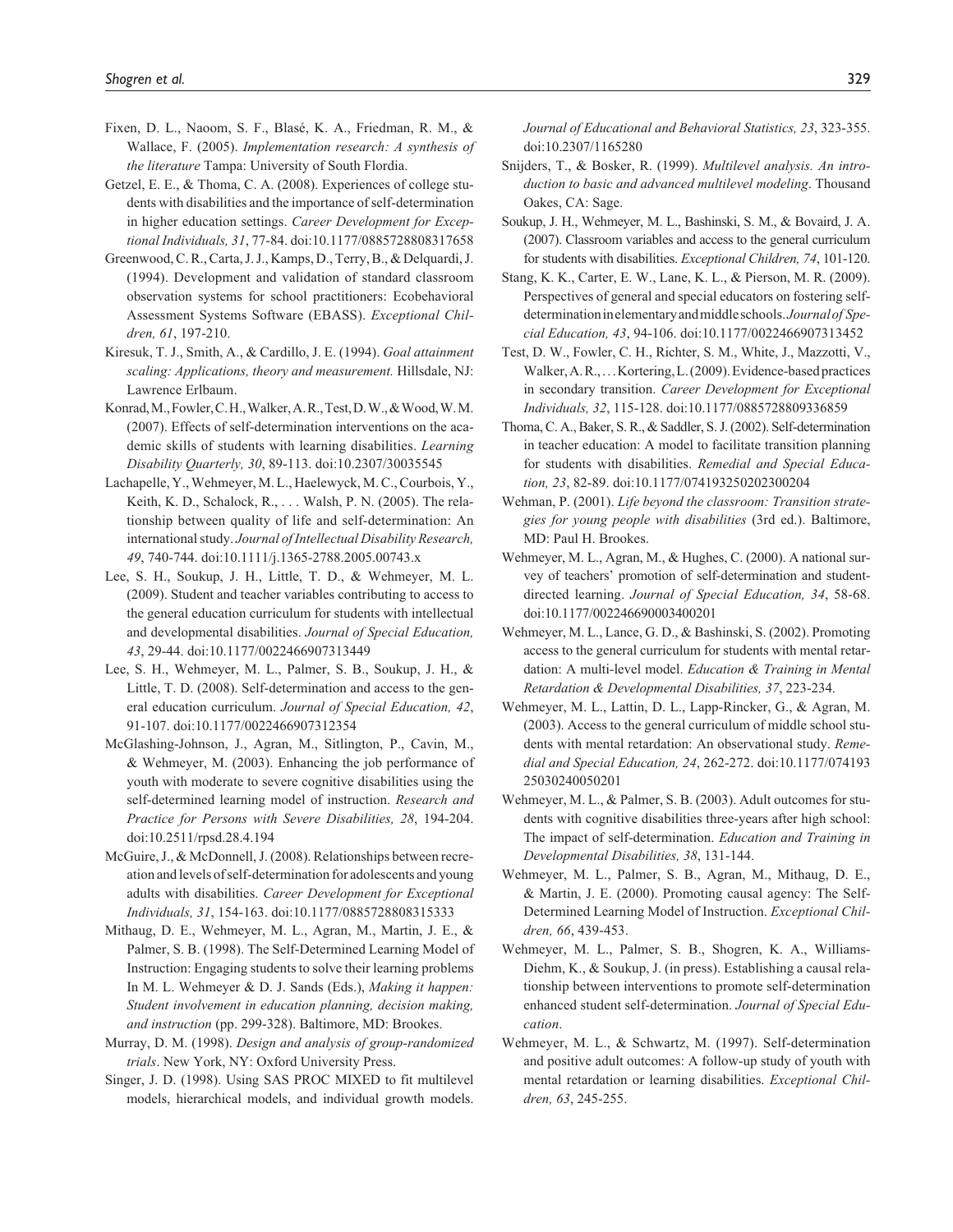- Fixen, D. L., Naoom, S. F., Blasé, K. A., Friedman, R. M., & Wallace, F. (2005). *Implementation research: A synthesis of the literature* Tampa: University of South Flordia.
- Getzel, E. E., & Thoma, C. A. (2008). Experiences of college students with disabilities and the importance of self-determination in higher education settings. *Career Development for Exceptional Individuals, 31*, 77-84. doi:10.1177/0885728808317658
- Greenwood, C. R., Carta, J. J., Kamps, D., Terry, B., & Delquardi, J. (1994). Development and validation of standard classroom observation systems for school practitioners: Ecobehavioral Assessment Systems Software (EBASS). *Exceptional Children, 61*, 197-210.
- Kiresuk, T. J., Smith, A., & Cardillo, J. E. (1994). *Goal attainment scaling: Applications, theory and measurement.* Hillsdale, NJ: Lawrence Erlbaum.
- Konrad, M., Fowler, C. H., Walker, A. R., Test, D. W., & Wood, W. M. (2007). Effects of self-determination interventions on the academic skills of students with learning disabilities. *Learning Disability Quarterly, 30*, 89-113. doi:10.2307/30035545
- Lachapelle, Y., Wehmeyer, M. L., Haelewyck, M. C., Courbois, Y., Keith, K. D., Schalock, R., . . . Walsh, P. N. (2005). The relationship between quality of life and self-determination: An international study. *Journal of Intellectual Disability Research, 49*, 740-744. doi:10.1111/j.1365-2788.2005.00743.x
- Lee, S. H., Soukup, J. H., Little, T. D., & Wehmeyer, M. L. (2009). Student and teacher variables contributing to access to the general education curriculum for students with intellectual and developmental disabilities. *Journal of Special Education, 43*, 29-44. doi:10.1177/0022466907313449
- Lee, S. H., Wehmeyer, M. L., Palmer, S. B., Soukup, J. H., & Little, T. D. (2008). Self-determination and access to the general education curriculum. *Journal of Special Education, 42*, 91-107. doi:10.1177/0022466907312354
- McGlashing-Johnson, J., Agran, M., Sitlington, P., Cavin, M., & Wehmeyer, M. (2003). Enhancing the job performance of youth with moderate to severe cognitive disabilities using the self-determined learning model of instruction. *Research and Practice for Persons with Severe Disabilities, 28*, 194-204. doi:10.2511/rpsd.28.4.194
- McGuire, J., & McDonnell, J. (2008). Relationships between recreation and levels of self-determination for adolescents and young adults with disabilities. *Career Development for Exceptional Individuals, 31*, 154-163. doi:10.1177/0885728808315333
- Mithaug, D. E., Wehmeyer, M. L., Agran, M., Martin, J. E., & Palmer, S. B. (1998). The Self-Determined Learning Model of Instruction: Engaging students to solve their learning problems In M. L. Wehmeyer & D. J. Sands (Eds.), *Making it happen: Student involvement in education planning, decision making, and instruction* (pp. 299-328). Baltimore, MD: Brookes.
- Murray, D. M. (1998). *Design and analysis of group-randomized trials*. New York, NY: Oxford University Press.
- Singer, J. D. (1998). Using SAS PROC MIXED to fit multilevel models, hierarchical models, and individual growth models.

*Journal of Educational and Behavioral Statistics, 23*, 323-355. doi:10.2307/1165280

- Snijders, T., & Bosker, R. (1999). *Multilevel analysis. An introduction to basic and advanced multilevel modeling*. Thousand Oakes, CA: Sage.
- Soukup, J. H., Wehmeyer, M. L., Bashinski, S. M., & Bovaird, J. A. (2007). Classroom variables and access to the general curriculum for students with disabilities. *Exceptional Children, 74*, 101-120.
- Stang, K. K., Carter, E. W., Lane, K. L., & Pierson, M. R. (2009). Perspectives of general and special educators on fostering selfdetermination in elementary and middle schools. *Journal of Special Education, 43*, 94-106. doi:10.1177/0022466907313452
- Test, D. W., Fowler, C. H., Richter, S. M., White, J., Mazzotti, V., Walker, A. R., . . . Kortering, L. (2009). Evidence-based practices in secondary transition. *Career Development for Exceptional Individuals, 32*, 115-128. doi:10.1177/0885728809336859
- Thoma, C. A., Baker, S. R., & Saddler, S. J. (2002). Self-determination in teacher education: A model to facilitate transition planning for students with disabilities. *Remedial and Special Education, 23*, 82-89. doi:10.1177/074193250202300204
- Wehman, P. (2001). *Life beyond the classroom: Transition strategies for young people with disabilities* (3rd ed.). Baltimore, MD: Paul H. Brookes.
- Wehmeyer, M. L., Agran, M., & Hughes, C. (2000). A national survey of teachers' promotion of self-determination and studentdirected learning. *Journal of Special Education, 34*, 58-68. doi:10.1177/002246690003400201
- Wehmeyer, M. L., Lance, G. D., & Bashinski, S. (2002). Promoting access to the general curriculum for students with mental retardation: A multi-level model. *Education & Training in Mental Retardation & Developmental Disabilities, 37*, 223-234.
- Wehmeyer, M. L., Lattin, D. L., Lapp-Rincker, G., & Agran, M. (2003). Access to the general curriculum of middle school students with mental retardation: An observational study. *Remedial and Special Education, 24*, 262-272. doi:10.1177/074193 25030240050201
- Wehmeyer, M. L., & Palmer, S. B. (2003). Adult outcomes for students with cognitive disabilities three-years after high school: The impact of self-determination. *Education and Training in Developmental Disabilities, 38*, 131-144.
- Wehmeyer, M. L., Palmer, S. B., Agran, M., Mithaug, D. E., & Martin, J. E. (2000). Promoting causal agency: The Self-Determined Learning Model of Instruction. *Exceptional Children, 66*, 439-453.
- Wehmeyer, M. L., Palmer, S. B., Shogren, K. A., Williams-Diehm, K., & Soukup, J. (in press). Establishing a causal relationship between interventions to promote self-determination enhanced student self-determination. *Journal of Special Education*.
- Wehmeyer, M. L., & Schwartz, M. (1997). Self-determination and positive adult outcomes: A follow-up study of youth with mental retardation or learning disabilities. *Exceptional Children, 63*, 245-255.